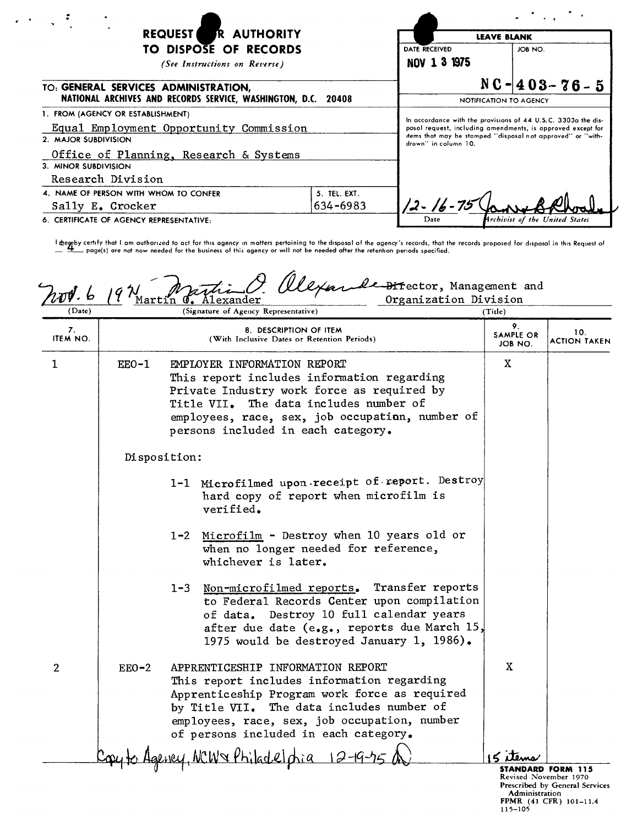| R AUTHORITY<br><b>REQUEST</b>                                                |              | <b>LEAVE BLANK</b>                                                                                                                                                                                                  |                                |  |
|------------------------------------------------------------------------------|--------------|---------------------------------------------------------------------------------------------------------------------------------------------------------------------------------------------------------------------|--------------------------------|--|
| TO DISPOSE OF RECORDS<br>(See Instructions on Reverse)                       |              | DATE RECEIVED<br>NOV 1 3 1975                                                                                                                                                                                       | JOB NO.                        |  |
| TO: GENERAL SERVICES ADMINISTRATION,                                         |              |                                                                                                                                                                                                                     | $NC - 403 - 76 - 5$            |  |
| NATIONAL ARCHIVES AND RECORDS SERVICE, WASHINGTON, D.C. 20408                |              |                                                                                                                                                                                                                     | NOTIFICATION TO AGENCY         |  |
| 1. FROM (AGENCY OR ESTABLISHMENT)<br>Equal Employment Opportunity Commission |              | In accordance with the provisions of 44 U.S.C. 3303a the dis-<br>posol request, including amendments, is approved except for<br>items that may be stamped "disposal not approved" or "with-<br>drown" in column 10. |                                |  |
| 2. MAJOR SUBDIVISION                                                         |              |                                                                                                                                                                                                                     |                                |  |
| Office of Planning, Research & Systems                                       |              |                                                                                                                                                                                                                     |                                |  |
| 3. MINOR SUBDIVISION                                                         |              |                                                                                                                                                                                                                     |                                |  |
| Research Division                                                            |              |                                                                                                                                                                                                                     |                                |  |
| 4. NAME OF PERSON WITH WHOM TO CONFER                                        | 5. TEL. EXT. |                                                                                                                                                                                                                     |                                |  |
| Sally E. Crocker                                                             | 634-6983     | 12 - 16 - 75                                                                                                                                                                                                        |                                |  |
| 6. CERTIFICATE OF AGENCY REPRESENTATIVE:                                     |              | Date                                                                                                                                                                                                                | Archivist of the United States |  |

l degeby certify that I am authorized to act for this agency in matters pertaining to the disposal of the agency's records, that the records proposed for disposal in this Request oi<br>\_\_\_\_\_\_\_\_ page(s) are not now needed for

| (Date)         | l <b>artin</b> | Organization Division<br>Alexander<br>(Signature of Agency Representative)                                                                                                                                                                                             | (Title)                          |                                                                                                               |
|----------------|----------------|------------------------------------------------------------------------------------------------------------------------------------------------------------------------------------------------------------------------------------------------------------------------|----------------------------------|---------------------------------------------------------------------------------------------------------------|
| 7.<br>ITEM NO. |                | 8. DESCRIPTION OF ITEM<br>(With Inclusive Dates or Retention Periods)                                                                                                                                                                                                  | 9.<br>SAMPLE OR<br>JOB NO.       | 10.<br>ACTION TAKEN                                                                                           |
| 1              | $EEO-1$        | EMPLOYER INFORMATION REPORT<br>This report includes information regarding<br>Private Industry work force as required by<br>The data includes number of<br>Title VII.<br>employees, race, sex, job occupation, number of<br>persons included in each category.          | X                                |                                                                                                               |
|                | Disposition:   |                                                                                                                                                                                                                                                                        |                                  |                                                                                                               |
|                |                | 1-1 Microfilmed upon receipt of report. Destroy<br>hard copy of report when microfilm is<br>verified.                                                                                                                                                                  |                                  |                                                                                                               |
|                |                | 1-2 Microfilm - Destroy when 10 years old or<br>when no longer needed for reference,<br>whichever is later.                                                                                                                                                            |                                  |                                                                                                               |
|                |                | Non-microfilmed reports. Transfer reports<br>$1 - 3$<br>to Federal Records Center upon compilation<br>of data. Destroy 10 full calendar years<br>after due date (e.g., reports due March $15$ ,<br>1975 would be destroyed January 1, 1986).                           |                                  |                                                                                                               |
| $\overline{2}$ | $EEO-2$        | APPRENTICESHIP INFORMATION REPORT<br>This report includes information regarding<br>Apprenticeship Program work force as required<br>by Title VII. The data includes number of<br>employees, race, sex, job occupation, number<br>of persons included in each category. | X                                |                                                                                                               |
|                |                | vey, NCW& Philadelphia 12-19-75 A                                                                                                                                                                                                                                      |                                  |                                                                                                               |
|                |                |                                                                                                                                                                                                                                                                        | <b>Administration</b><br>115-105 | <b>STANDARD FORM 115</b><br>Revised November 1970<br>Prescribed by General Services<br>FPMR (41 CFR) 101-11.4 |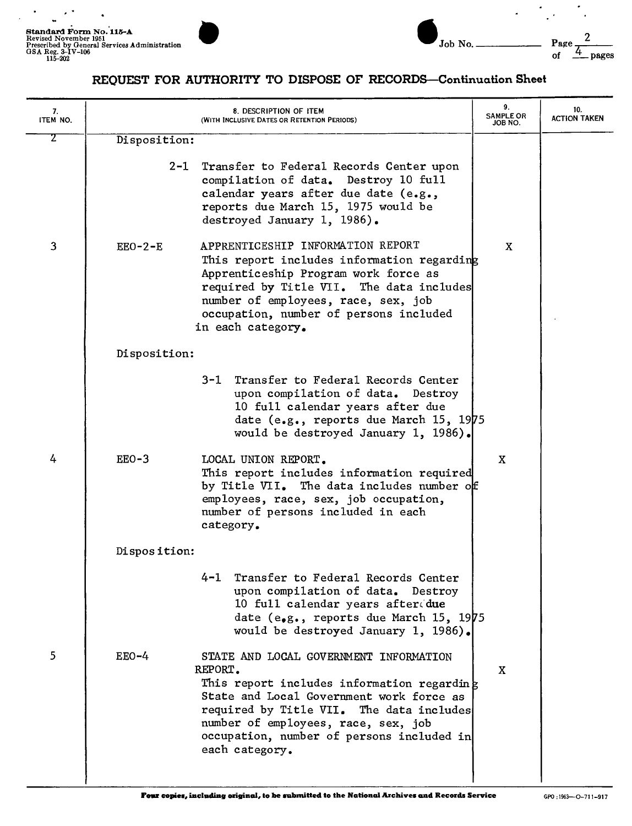$\overline{a}$ 



REQUEST FOR AUTHORITY TO DISPOSE OF RECORDS-Continuation Sheet

| 7.<br>ITEM NO. |              | 8. DESCRIPTION OF ITEM<br>(WITH INCLUSIVE DATES OR RETENTION PERIODS)                                                                                                                                                                                                                         | 9.<br><b>SAMPLE OR</b><br>JOB NO. | 10.<br><b>ACTION TAKEN</b> |
|----------------|--------------|-----------------------------------------------------------------------------------------------------------------------------------------------------------------------------------------------------------------------------------------------------------------------------------------------|-----------------------------------|----------------------------|
| 2              | Disposition: |                                                                                                                                                                                                                                                                                               |                                   |                            |
|                |              | 2-1 Transfer to Federal Records Center upon<br>compilation of data. Destroy 10 full<br>calendar years after due date (e.g.,<br>reports due March 15, 1975 would be<br>destroyed January 1, 1986).                                                                                             |                                   |                            |
| 3              | $EEO-2-E$    | APPRENTICESHIP INFORMATION REPORT<br>This report includes information regarding<br>Apprenticeship Program work force as<br>required by Title VII. The data includes<br>number of employees, race, sex, job<br>occupation, number of persons included<br>in each category.                     | X                                 |                            |
|                | Disposition: |                                                                                                                                                                                                                                                                                               |                                   |                            |
|                |              | 3-1 Transfer to Federal Records Center<br>upon compilation of data. Destroy<br>10 full calendar years after due<br>date (e.g., reports due March 15, 1975<br>would be destroyed January 1, 1986).                                                                                             |                                   |                            |
| 4              | EEO-3        | LOCAL UNION REPORT.<br>This report includes information required<br>by Title VII. The data includes number of<br>employees, race, sex, job occupation,<br>number of persons included in each<br>category.                                                                                     | X                                 |                            |
|                | Disposition: |                                                                                                                                                                                                                                                                                               |                                   |                            |
|                |              | Transfer to Federal Records Center<br>$4 - 1$<br>upon compilation of data. Destroy<br>10 full calendar years afterdue<br>date (e.g., reports due March 15, 1975<br>would be destroyed January 1, 1986).                                                                                       |                                   |                            |
| 5              | $EEO-4$      | STATE AND LOCAL GOVERNMENT INFORMATION<br>REPORT.<br>This report includes information regarding<br>State and Local Government work force as<br>required by Title VII. The data includes<br>number of employees, race, sex, job<br>occupation, number of persons included in<br>each category. | X                                 |                            |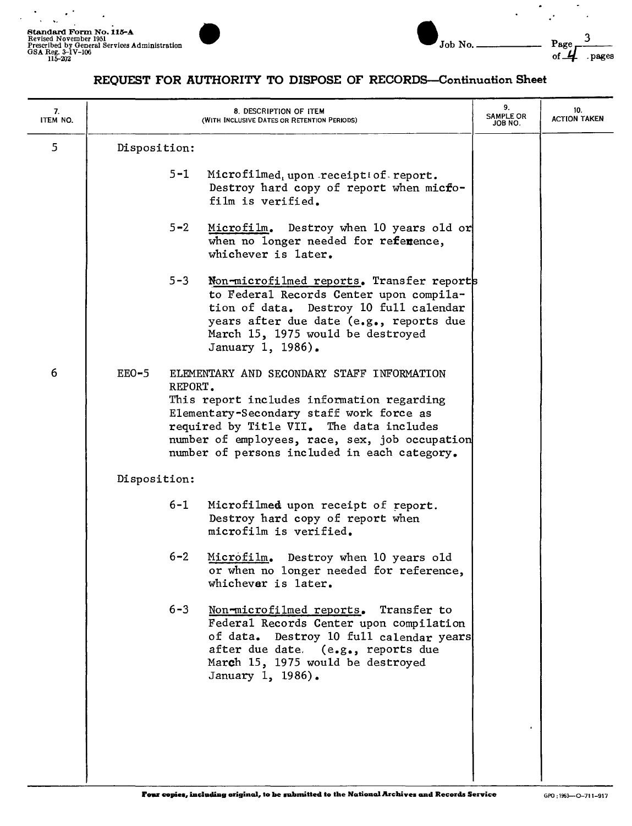$\overline{a}$ 

 $\ddot{\phantom{1}}$ 

 $\ddot{\phantom{0}}$  $\mathbf{A}$  $\sim$ ÷.

 $\ddot{\phantom{a}}$  $\ddot{\phantom{a}}$ 



J

 $\overline{a}$ 

 $\mathcal{L}^{\bullet}$ 

## REQUEST FOR AUTHORITY TO DISPOSE OF RECORDS-Continuation Sheet

| 7.<br>ITEM NO. |                    | 8. DESCRIPTION OF ITEM<br>(WITH INCLUSIVE DATES OR RETENTION PERIODS)                                                                                                                                                                                                              | 9.<br><b>SAMPLE OR</b><br>JOB NO. | 10.<br><b>ACTION TAKEN</b> |
|----------------|--------------------|------------------------------------------------------------------------------------------------------------------------------------------------------------------------------------------------------------------------------------------------------------------------------------|-----------------------------------|----------------------------|
| 5              | Disposition:       |                                                                                                                                                                                                                                                                                    |                                   |                            |
|                | $5 - 1$            | Microfilmed, upon receiptiof report.<br>Destroy hard copy of report when micfo-<br>film is verified.                                                                                                                                                                               |                                   |                            |
|                | $5 - 2$            | Microfilm. Destroy when 10 years old or<br>when no longer needed for reference,<br>whichever is later.                                                                                                                                                                             |                                   |                            |
|                | $5 - 3$            | Non-microfilmed reports. Transfer reports<br>to Federal Records Center upon compila-<br>tion of data. Destroy 10 full calendar<br>years after due date (e.g., reports due<br>March 15, 1975 would be destroyed<br>January 1, 1986).                                                |                                   |                            |
| 6              | $EEO-5$<br>REPORT. | ELEMENTARY AND SECONDARY STAFF INFORMATION<br>This report includes information regarding<br>Elementary-Secondary staff work force as<br>required by Title VII. The data includes<br>number of employees, race, sex, job occupation<br>number of persons included in each category. |                                   |                            |
|                | Disposition:       |                                                                                                                                                                                                                                                                                    |                                   |                            |
|                | $6 - 1$            | Microfilmed upon receipt of report.<br>Destroy hard copy of report when<br>microfilm is verified.                                                                                                                                                                                  |                                   |                            |
|                | $6 - 2$            | Microfilm. Destroy when 10 years old<br>or when no longer needed for reference,<br>whichever is later.                                                                                                                                                                             |                                   |                            |
|                | $6 - 3$            | Non-microfilmed reports. Transfer to<br>Federal Records Center upon compilation<br>of data. Destroy 10 full calendar years<br>after due date. (e.g., reports due<br>March 15, 1975 would be destroyed<br>January 1, 1986).                                                         |                                   |                            |
|                |                    |                                                                                                                                                                                                                                                                                    |                                   |                            |